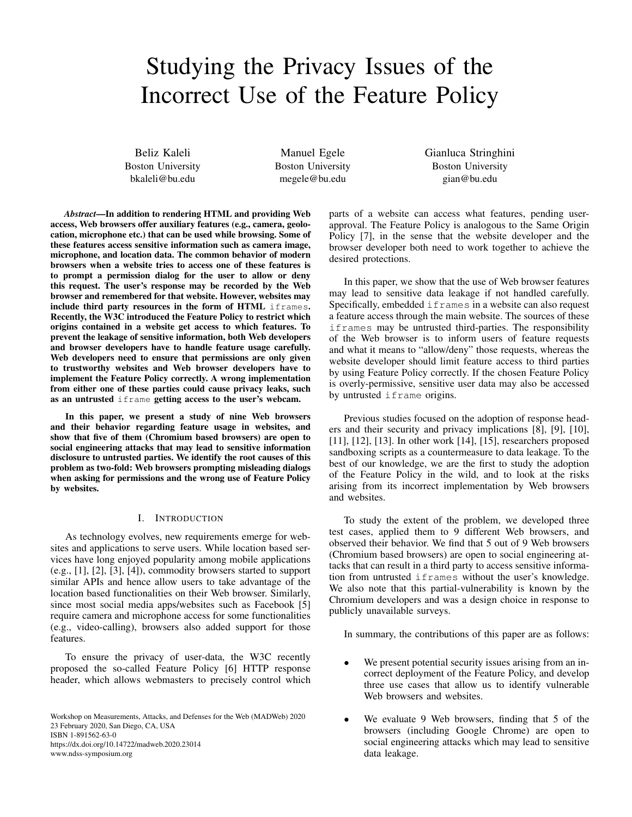# Studying the Privacy Issues of the Incorrect Use of the Feature Policy

Beliz Kaleli Boston University bkaleli@bu.edu

Manuel Egele Boston University megele@bu.edu

Gianluca Stringhini Boston University gian@bu.edu

*Abstract*—In addition to rendering HTML and providing Web access, Web browsers offer auxiliary features (e.g., camera, geolocation, microphone etc.) that can be used while browsing. Some of these features access sensitive information such as camera image, microphone, and location data. The common behavior of modern browsers when a website tries to access one of these features is to prompt a permission dialog for the user to allow or deny this request. The user's response may be recorded by the Web browser and remembered for that website. However, websites may include third party resources in the form of HTML iframes. Recently, the W3C introduced the Feature Policy to restrict which origins contained in a website get access to which features. To prevent the leakage of sensitive information, both Web developers and browser developers have to handle feature usage carefully. Web developers need to ensure that permissions are only given to trustworthy websites and Web browser developers have to implement the Feature Policy correctly. A wrong implementation from either one of these parties could cause privacy leaks, such as an untrusted iframe getting access to the user's webcam.

In this paper, we present a study of nine Web browsers and their behavior regarding feature usage in websites, and show that five of them (Chromium based browsers) are open to social engineering attacks that may lead to sensitive information disclosure to untrusted parties. We identify the root causes of this problem as two-fold: Web browsers prompting misleading dialogs when asking for permissions and the wrong use of Feature Policy by websites.

## I. INTRODUCTION

As technology evolves, new requirements emerge for websites and applications to serve users. While location based services have long enjoyed popularity among mobile applications (e.g., [1], [2], [3], [4]), commodity browsers started to support similar APIs and hence allow users to take advantage of the location based functionalities on their Web browser. Similarly, since most social media apps/websites such as Facebook [5] require camera and microphone access for some functionalities (e.g., video-calling), browsers also added support for those features.

To ensure the privacy of user-data, the W3C recently proposed the so-called Feature Policy [6] HTTP response header, which allows webmasters to precisely control which

Workshop on Measurements, Attacks, and Defenses for the Web (MADWeb) 2020 23 February 2020, San Diego, CA, USA ISBN 1-891562-63-0 https://dx.doi.org/10.14722/madweb.2020.23014 www.ndss-symposium.org

parts of a website can access what features, pending userapproval. The Feature Policy is analogous to the Same Origin Policy [7], in the sense that the website developer and the browser developer both need to work together to achieve the desired protections.

In this paper, we show that the use of Web browser features may lead to sensitive data leakage if not handled carefully. Specifically, embedded iframes in a website can also request a feature access through the main website. The sources of these iframes may be untrusted third-parties. The responsibility of the Web browser is to inform users of feature requests and what it means to "allow/deny" those requests, whereas the website developer should limit feature access to third parties by using Feature Policy correctly. If the chosen Feature Policy is overly-permissive, sensitive user data may also be accessed by untrusted if rame origins.

Previous studies focused on the adoption of response headers and their security and privacy implications [8], [9], [10], [11], [12], [13]. In other work [14], [15], researchers proposed sandboxing scripts as a countermeasure to data leakage. To the best of our knowledge, we are the first to study the adoption of the Feature Policy in the wild, and to look at the risks arising from its incorrect implementation by Web browsers and websites.

To study the extent of the problem, we developed three test cases, applied them to 9 different Web browsers, and observed their behavior. We find that 5 out of 9 Web browsers (Chromium based browsers) are open to social engineering attacks that can result in a third party to access sensitive information from untrusted iframes without the user's knowledge. We also note that this partial-vulnerability is known by the Chromium developers and was a design choice in response to publicly unavailable surveys.

In summary, the contributions of this paper are as follows:

- We present potential security issues arising from an incorrect deployment of the Feature Policy, and develop three use cases that allow us to identify vulnerable Web browsers and websites.
- We evaluate 9 Web browsers, finding that 5 of the browsers (including Google Chrome) are open to social engineering attacks which may lead to sensitive data leakage.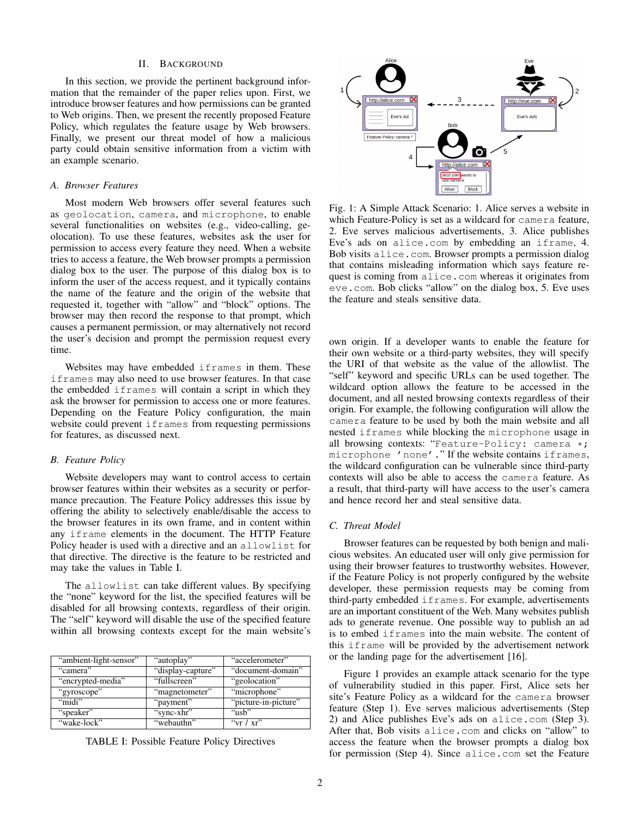## II. BACKGROUND

In this section, we provide the pertinent background information that the remainder of the paper relies upon. First, we introduce browser features and how permissions can be granted to Web origins. Then, we present the recently proposed Feature Policy, which regulates the feature usage by Web browsers. Finally, we present our threat model of how a malicious party could obtain sensitive information from a victim with an example scenario.

## *A. Browser Features*

Most modern Web browsers offer several features such as geolocation, camera, and microphone, to enable several functionalities on websites (e.g., video-calling, geolocation). To use these features, websites ask the user for permission to access every feature they need. When a website tries to access a feature, the Web browser prompts a permission dialog box to the user. The purpose of this dialog box is to inform the user of the access request, and it typically contains the name of the feature and the origin of the website that requested it, together with "allow" and "block" options. The browser may then record the response to that prompt, which causes a permanent permission, or may alternatively not record the user's decision and prompt the permission request every time.

Websites may have embedded iframes in them. These iframes may also need to use browser features. In that case the embedded iframes will contain a script in which they ask the browser for permission to access one or more features. Depending on the Feature Policy configuration, the main website could prevent if rames from requesting permissions for features, as discussed next.

## *B. Feature Policy*

Website developers may want to control access to certain browser features within their websites as a security or performance precaution. The Feature Policy addresses this issue by offering the ability to selectively enable/disable the access to the browser features in its own frame, and in content within any iframe elements in the document. The HTTP Feature Policy header is used with a directive and an allowlist for that directive. The directive is the feature to be restricted and may take the values in Table I.

The allowlist can take different values. By specifying the "none" keyword for the list, the specified features will be disabled for all browsing contexts, regardless of their origin. The "self" keyword will disable the use of the specified feature within all browsing contexts except for the main website's

| "ambient-light-sensor" | "autoplay"        | "accelerometer"      |
|------------------------|-------------------|----------------------|
| "camera"               | "display-capture" | "document-domain"    |
| "encrypted-media"      | "fullscreen"      | "geolocation"        |
| "gyroscope"            | "magnetometer"    | "microphone"         |
| "midi"                 | "payment"         | "picture-in-picture" |
| "speaker"              | "sync-xhr"        | "ush"                |
| "wake-lock"            | "webauthn"        | " $vr / xr$ "        |

TABLE I: Possible Feature Policy Directives



Fig. 1: A Simple Attack Scenario: 1. Alice serves a website in which Feature-Policy is set as a wildcard for camera feature, 2. Eve serves malicious advertisements, 3. Alice publishes Eve's ads on alice.com by embedding an iframe, 4. Bob visits alice.com. Browser prompts a permission dialog that contains misleading information which says feature request is coming from alice.com whereas it originates from eve.com. Bob clicks "allow" on the dialog box, 5. Eve uses the feature and steals sensitive data.

own origin. If a developer wants to enable the feature for their own website or a third-party websites, they will specify the URI of that website as the value of the allowlist. The "self" keyword and specific URLs can be used together. The wildcard option allows the feature to be accessed in the document, and all nested browsing contexts regardless of their origin. For example, the following configuration will allow the camera feature to be used by both the main website and all nested iframes while blocking the microphone usage in all browsing contexts: "Feature-Policy: camera \*; microphone 'none'." If the website contains iframes, the wildcard configuration can be vulnerable since third-party contexts will also be able to access the camera feature. As a result, that third-party will have access to the user's camera and hence record her and steal sensitive data.

### *C. Threat Model*

Browser features can be requested by both benign and malicious websites. An educated user will only give permission for using their browser features to trustworthy websites. However, if the Feature Policy is not properly configured by the website developer, these permission requests may be coming from third-party embedded iframes. For example, advertisements are an important constituent of the Web. Many websites publish ads to generate revenue. One possible way to publish an ad is to embed iframes into the main website. The content of this iframe will be provided by the advertisement network or the landing page for the advertisement [16].

Figure 1 provides an example attack scenario for the type of vulnerability studied in this paper. First, Alice sets her site's Feature Policy as a wildcard for the camera browser feature (Step 1). Eve serves malicious advertisements (Step 2) and Alice publishes Eve's ads on alice.com (Step 3). After that, Bob visits alice.com and clicks on "allow" to access the feature when the browser prompts a dialog box for permission (Step 4). Since alice.com set the Feature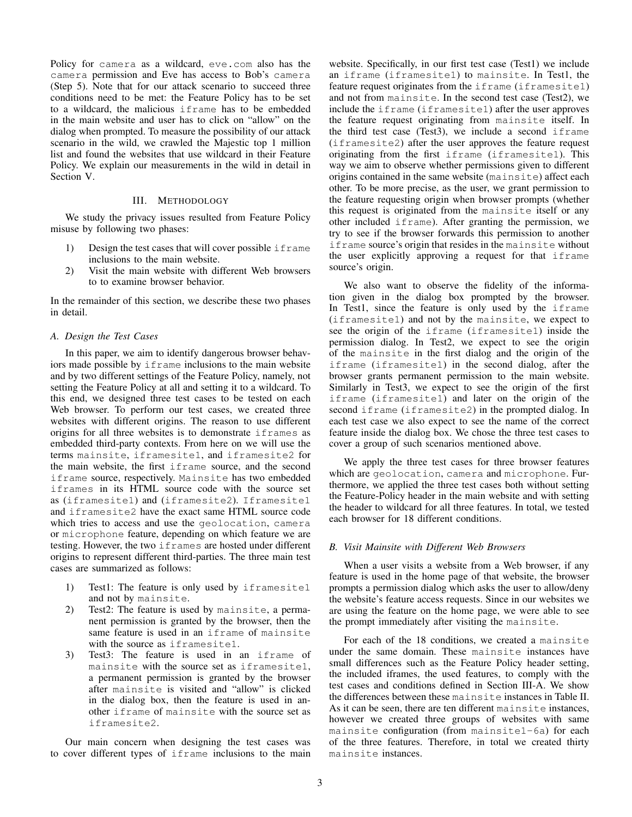Policy for camera as a wildcard, eve.com also has the camera permission and Eve has access to Bob's camera (Step 5). Note that for our attack scenario to succeed three conditions need to be met: the Feature Policy has to be set to a wildcard, the malicious iframe has to be embedded in the main website and user has to click on "allow" on the dialog when prompted. To measure the possibility of our attack scenario in the wild, we crawled the Majestic top 1 million list and found the websites that use wildcard in their Feature Policy. We explain our measurements in the wild in detail in Section V.

## III. METHODOLOGY

We study the privacy issues resulted from Feature Policy misuse by following two phases:

- 1) Design the test cases that will cover possible iframe inclusions to the main website.
- 2) Visit the main website with different Web browsers to to examine browser behavior.

In the remainder of this section, we describe these two phases in detail.

## *A. Design the Test Cases*

In this paper, we aim to identify dangerous browser behaviors made possible by iframe inclusions to the main website and by two different settings of the Feature Policy, namely, not setting the Feature Policy at all and setting it to a wildcard. To this end, we designed three test cases to be tested on each Web browser. To perform our test cases, we created three websites with different origins. The reason to use different origins for all three websites is to demonstrate iframes as embedded third-party contexts. From here on we will use the terms mainsite, iframesite1, and iframesite2 for the main website, the first iframe source, and the second iframe source, respectively. Mainsite has two embedded iframes in its HTML source code with the source set as (iframesite1) and (iframesite2). Iframesite1 and iframesite2 have the exact same HTML source code which tries to access and use the geolocation, camera or microphone feature, depending on which feature we are testing. However, the two iframes are hosted under different origins to represent different third-parties. The three main test cases are summarized as follows:

- 1) Test1: The feature is only used by iframesite1 and not by mainsite.
- 2) Test2: The feature is used by mainsite, a permanent permission is granted by the browser, then the same feature is used in an iframe of mainsite with the source as iframesitel.
- 3) Test3: The feature is used in an iframe of mainsite with the source set as iframesite1, a permanent permission is granted by the browser after mainsite is visited and "allow" is clicked in the dialog box, then the feature is used in another iframe of mainsite with the source set as iframesite2.

Our main concern when designing the test cases was to cover different types of iframe inclusions to the main website. Specifically, in our first test case (Test1) we include an iframe (iframesite1) to mainsite. In Test1, the feature request originates from the iframe (iframesite1) and not from mainsite. In the second test case (Test2), we include the iframe (iframesite1) after the user approves the feature request originating from mainsite itself. In the third test case (Test3), we include a second iframe (iframesite2) after the user approves the feature request originating from the first iframe (iframesite1). This way we aim to observe whether permissions given to different origins contained in the same website (mainsite) affect each other. To be more precise, as the user, we grant permission to the feature requesting origin when browser prompts (whether this request is originated from the mainsite itself or any other included iframe). After granting the permission, we try to see if the browser forwards this permission to another iframe source's origin that resides in the mainsite without the user explicitly approving a request for that iframe source's origin.

We also want to observe the fidelity of the information given in the dialog box prompted by the browser. In Test1, since the feature is only used by the iframe (iframesite1) and not by the mainsite, we expect to see the origin of the iframe (iframesite1) inside the permission dialog. In Test2, we expect to see the origin of the mainsite in the first dialog and the origin of the iframe (iframesite1) in the second dialog, after the browser grants permanent permission to the main website. Similarly in Test3, we expect to see the origin of the first iframe (iframesite1) and later on the origin of the second iframe (iframesite2) in the prompted dialog. In each test case we also expect to see the name of the correct feature inside the dialog box. We chose the three test cases to cover a group of such scenarios mentioned above.

We apply the three test cases for three browser features which are geolocation, camera and microphone. Furthermore, we applied the three test cases both without setting the Feature-Policy header in the main website and with setting the header to wildcard for all three features. In total, we tested each browser for 18 different conditions.

#### *B. Visit Mainsite with Different Web Browsers*

When a user visits a website from a Web browser, if any feature is used in the home page of that website, the browser prompts a permission dialog which asks the user to allow/deny the website's feature access requests. Since in our websites we are using the feature on the home page, we were able to see the prompt immediately after visiting the mainsite.

For each of the 18 conditions, we created a mainsite under the same domain. These mainsite instances have small differences such as the Feature Policy header setting, the included iframes, the used features, to comply with the test cases and conditions defined in Section III-A. We show the differences between these mainsite instances in Table II. As it can be seen, there are ten different mainsite instances, however we created three groups of websites with same mainsite configuration (from mainsite1-6a) for each of the three features. Therefore, in total we created thirty mainsite instances.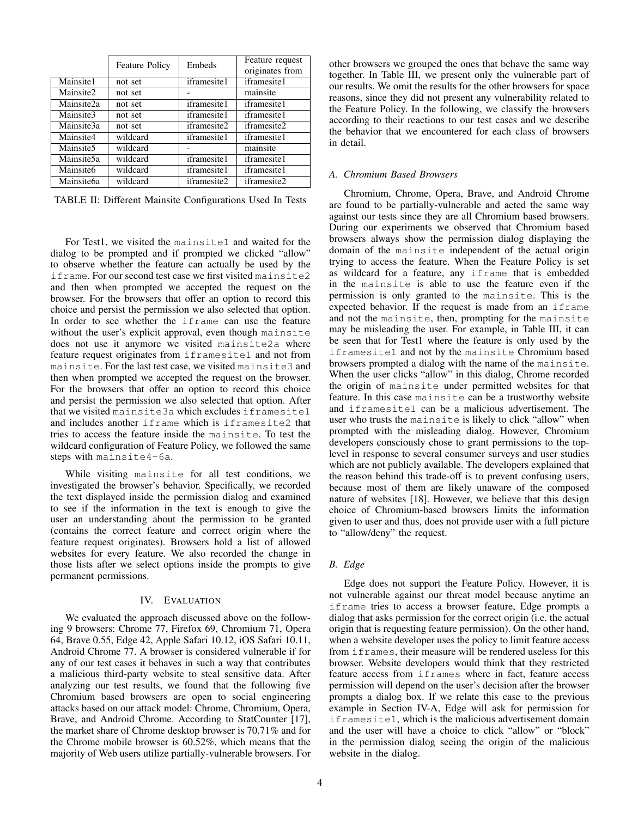|                        | <b>Feature Policy</b> | Embeds             | Feature request<br>originates from |  |
|------------------------|-----------------------|--------------------|------------------------------------|--|
| Mainsite1              | not set               | iframesite1        | iframesite1                        |  |
| Mainsite2              | not set               |                    | mainsite                           |  |
| Mainsite2a             | not set               | iframesite1        | iframesite1                        |  |
| Mainsite3              | not set               | <i>iframesite1</i> | iframesite1                        |  |
| Mainsite3a             | not set               | iframesite2        | iframesite2                        |  |
| Mainsite4              | wildcard              | <i>iframesite1</i> | iframesite1                        |  |
| Mainsite5              | wildcard              |                    | mainsite                           |  |
| Mainsite5a             | wildcard              | iframesite1        | iframesite1                        |  |
| Mainsite <sub>6</sub>  | wildcard              | <i>iframesite1</i> | iframesite1                        |  |
| Mainsite <sub>6a</sub> | wildcard              | <i>iframesite2</i> | iframesite2                        |  |

TABLE II: Different Mainsite Configurations Used In Tests

For Test1, we visited the mainsite1 and waited for the dialog to be prompted and if prompted we clicked "allow" to observe whether the feature can actually be used by the iframe. For our second test case we first visited mainsite2 and then when prompted we accepted the request on the browser. For the browsers that offer an option to record this choice and persist the permission we also selected that option. In order to see whether the iframe can use the feature without the user's explicit approval, even though mainsite does not use it anymore we visited mainsite2a where feature request originates from iframesite1 and not from mainsite. For the last test case, we visited mainsite3 and then when prompted we accepted the request on the browser. For the browsers that offer an option to record this choice and persist the permission we also selected that option. After that we visited mainsite3a which excludes iframesite1 and includes another iframe which is iframesite2 that tries to access the feature inside the mainsite. To test the wildcard configuration of Feature Policy, we followed the same steps with mainsite4-6a.

While visiting mainsite for all test conditions, we investigated the browser's behavior. Specifically, we recorded the text displayed inside the permission dialog and examined to see if the information in the text is enough to give the user an understanding about the permission to be granted (contains the correct feature and correct origin where the feature request originates). Browsers hold a list of allowed websites for every feature. We also recorded the change in those lists after we select options inside the prompts to give permanent permissions.

## IV. EVALUATION

We evaluated the approach discussed above on the following 9 browsers: Chrome 77, Firefox 69, Chromium 71, Opera 64, Brave 0.55, Edge 42, Apple Safari 10.12, iOS Safari 10.11, Android Chrome 77. A browser is considered vulnerable if for any of our test cases it behaves in such a way that contributes a malicious third-party website to steal sensitive data. After analyzing our test results, we found that the following five Chromium based browsers are open to social engineering attacks based on our attack model: Chrome, Chromium, Opera, Brave, and Android Chrome. According to StatCounter [17], the market share of Chrome desktop browser is 70.71% and for the Chrome mobile browser is 60.52%, which means that the majority of Web users utilize partially-vulnerable browsers. For other browsers we grouped the ones that behave the same way together. In Table III, we present only the vulnerable part of our results. We omit the results for the other browsers for space reasons, since they did not present any vulnerability related to the Feature Policy. In the following, we classify the browsers according to their reactions to our test cases and we describe the behavior that we encountered for each class of browsers in detail.

## *A. Chromium Based Browsers*

Chromium, Chrome, Opera, Brave, and Android Chrome are found to be partially-vulnerable and acted the same way against our tests since they are all Chromium based browsers. During our experiments we observed that Chromium based browsers always show the permission dialog displaying the domain of the mainsite independent of the actual origin trying to access the feature. When the Feature Policy is set as wildcard for a feature, any iframe that is embedded in the mainsite is able to use the feature even if the permission is only granted to the mainsite. This is the expected behavior. If the request is made from an iframe and not the mainsite, then, prompting for the mainsite may be misleading the user. For example, in Table III, it can be seen that for Test1 where the feature is only used by the iframesite1 and not by the mainsite Chromium based browsers prompted a dialog with the name of the mainsite. When the user clicks "allow" in this dialog, Chrome recorded the origin of mainsite under permitted websites for that feature. In this case mainsite can be a trustworthy website and iframesite1 can be a malicious advertisement. The user who trusts the mainsite is likely to click "allow" when prompted with the misleading dialog. However, Chromium developers consciously chose to grant permissions to the toplevel in response to several consumer surveys and user studies which are not publicly available. The developers explained that the reason behind this trade-off is to prevent confusing users, because most of them are likely unaware of the composed nature of websites [18]. However, we believe that this design choice of Chromium-based browsers limits the information given to user and thus, does not provide user with a full picture to "allow/deny" the request.

## *B. Edge*

Edge does not support the Feature Policy. However, it is not vulnerable against our threat model because anytime an iframe tries to access a browser feature, Edge prompts a dialog that asks permission for the correct origin (i.e. the actual origin that is requesting feature permission). On the other hand, when a website developer uses the policy to limit feature access from iframes, their measure will be rendered useless for this browser. Website developers would think that they restricted feature access from iframes where in fact, feature access permission will depend on the user's decision after the browser prompts a dialog box. If we relate this case to the previous example in Section IV-A, Edge will ask for permission for iframesite1, which is the malicious advertisement domain and the user will have a choice to click "allow" or "block" in the permission dialog seeing the origin of the malicious website in the dialog.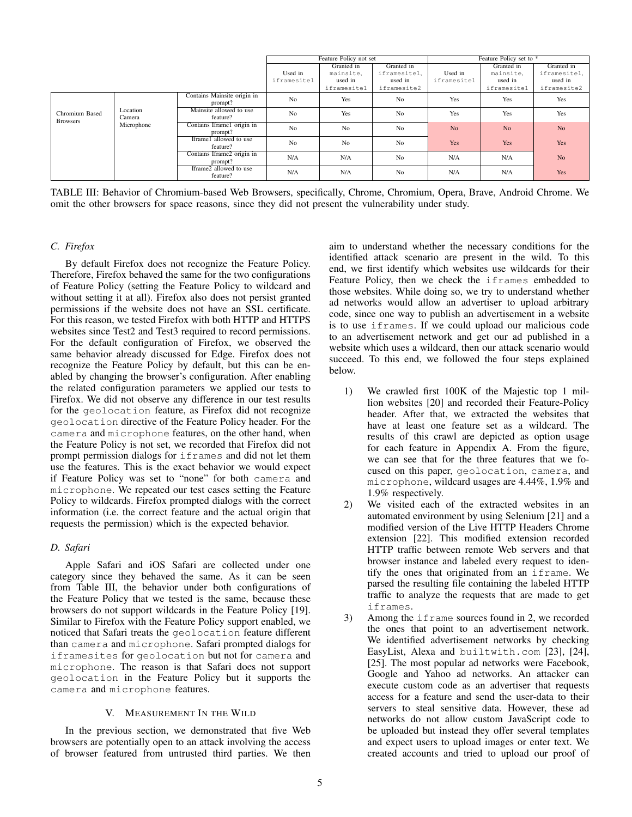|                                   |                                  |                                        | Feature Policy not set |                | Feature Policy set to * |                |                |                |
|-----------------------------------|----------------------------------|----------------------------------------|------------------------|----------------|-------------------------|----------------|----------------|----------------|
|                                   |                                  |                                        |                        | Granted in     | Granted in              |                | Granted in     | Granted in     |
|                                   |                                  |                                        | Used in                | mainsite.      | iframesitel.            | Used in        | mainsite.      | iframesitel,   |
|                                   |                                  |                                        | iframesitel            | used in        | used in                 | iframesitel    | used in        | used in        |
|                                   |                                  |                                        |                        | iframesitel    | iframesite2             |                | iframesitel    | iframesite2    |
| Chromium Based<br><b>Browsers</b> | Location<br>Camera<br>Microphone | Contains Mainsite origin in<br>prompt? | N <sub>0</sub>         | Yes            | N <sub>0</sub>          | Yes            | Yes            | Yes            |
|                                   |                                  | Mainsite allowed to use<br>feature?    | N <sub>0</sub>         | Yes            | N <sub>o</sub>          | Yes            | Yes            | Yes            |
|                                   |                                  | Contains Iframe1 origin in<br>prompt?  | N <sub>0</sub>         | No             | No                      | N <sub>o</sub> | N <sub>o</sub> | N <sub>o</sub> |
|                                   |                                  | Iframe1 allowed to use<br>feature?     | N <sub>0</sub>         | N <sub>0</sub> | N <sub>o</sub>          | Yes            | <b>Yes</b>     | Yes            |
|                                   |                                  | Contains Iframe2 origin in<br>prompt?  | N/A                    | N/A            | N <sub>o</sub>          | N/A            | N/A            | N <sub>o</sub> |
|                                   |                                  | Iframe2 allowed to use<br>feature?     | N/A                    | N/A            | N <sub>0</sub>          | N/A            | N/A            | Yes            |

TABLE III: Behavior of Chromium-based Web Browsers, specifically, Chrome, Chromium, Opera, Brave, Android Chrome. We omit the other browsers for space reasons, since they did not present the vulnerability under study.

# *C. Firefox*

By default Firefox does not recognize the Feature Policy. Therefore, Firefox behaved the same for the two configurations of Feature Policy (setting the Feature Policy to wildcard and without setting it at all). Firefox also does not persist granted permissions if the website does not have an SSL certificate. For this reason, we tested Firefox with both HTTP and HTTPS websites since Test2 and Test3 required to record permissions. For the default configuration of Firefox, we observed the same behavior already discussed for Edge. Firefox does not recognize the Feature Policy by default, but this can be enabled by changing the browser's configuration. After enabling the related configuration parameters we applied our tests to Firefox. We did not observe any difference in our test results for the geolocation feature, as Firefox did not recognize geolocation directive of the Feature Policy header. For the camera and microphone features, on the other hand, when the Feature Policy is not set, we recorded that Firefox did not prompt permission dialogs for iframes and did not let them use the features. This is the exact behavior we would expect if Feature Policy was set to "none" for both camera and microphone. We repeated our test cases setting the Feature Policy to wildcards. Firefox prompted dialogs with the correct information (i.e. the correct feature and the actual origin that requests the permission) which is the expected behavior.

# *D. Safari*

Apple Safari and iOS Safari are collected under one category since they behaved the same. As it can be seen from Table III, the behavior under both configurations of the Feature Policy that we tested is the same, because these browsers do not support wildcards in the Feature Policy [19]. Similar to Firefox with the Feature Policy support enabled, we noticed that Safari treats the geolocation feature different than camera and microphone. Safari prompted dialogs for iframesites for geolocation but not for camera and microphone. The reason is that Safari does not support geolocation in the Feature Policy but it supports the camera and microphone features.

# V. MEASUREMENT IN THE WILD

In the previous section, we demonstrated that five Web browsers are potentially open to an attack involving the access of browser featured from untrusted third parties. We then aim to understand whether the necessary conditions for the identified attack scenario are present in the wild. To this end, we first identify which websites use wildcards for their Feature Policy, then we check the iframes embedded to those websites. While doing so, we try to understand whether ad networks would allow an advertiser to upload arbitrary code, since one way to publish an advertisement in a website is to use iframes. If we could upload our malicious code to an advertisement network and get our ad published in a website which uses a wildcard, then our attack scenario would succeed. To this end, we followed the four steps explained below.

- 1) We crawled first 100K of the Majestic top 1 million websites [20] and recorded their Feature-Policy header. After that, we extracted the websites that have at least one feature set as a wildcard. The results of this crawl are depicted as option usage for each feature in Appendix A. From the figure, we can see that for the three features that we focused on this paper, geolocation, camera, and microphone, wildcard usages are 4.44%, 1.9% and 1.9% respectively.
- 2) We visited each of the extracted websites in an automated environment by using Selenium [21] and a modified version of the Live HTTP Headers Chrome extension [22]. This modified extension recorded HTTP traffic between remote Web servers and that browser instance and labeled every request to identify the ones that originated from an iframe. We parsed the resulting file containing the labeled HTTP traffic to analyze the requests that are made to get iframes.
- 3) Among the iframe sources found in 2, we recorded the ones that point to an advertisement network. We identified advertisement networks by checking EasyList, Alexa and builtwith.com [23], [24], [25]. The most popular ad networks were Facebook, Google and Yahoo ad networks. An attacker can execute custom code as an advertiser that requests access for a feature and send the user-data to their servers to steal sensitive data. However, these ad networks do not allow custom JavaScript code to be uploaded but instead they offer several templates and expect users to upload images or enter text. We created accounts and tried to upload our proof of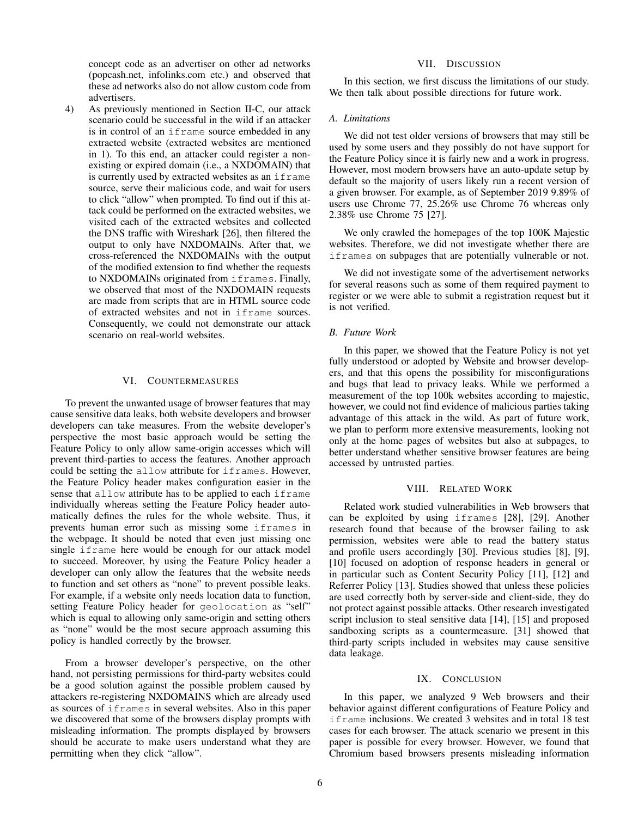concept code as an advertiser on other ad networks (popcash.net, infolinks.com etc.) and observed that these ad networks also do not allow custom code from advertisers.

4) As previously mentioned in Section II-C, our attack scenario could be successful in the wild if an attacker is in control of an iframe source embedded in any extracted website (extracted websites are mentioned in 1). To this end, an attacker could register a nonexisting or expired domain (i.e., a NXDOMAIN) that is currently used by extracted websites as an iframe source, serve their malicious code, and wait for users to click "allow" when prompted. To find out if this attack could be performed on the extracted websites, we visited each of the extracted websites and collected the DNS traffic with Wireshark [26], then filtered the output to only have NXDOMAINs. After that, we cross-referenced the NXDOMAINs with the output of the modified extension to find whether the requests to NXDOMAINs originated from iframes. Finally, we observed that most of the NXDOMAIN requests are made from scripts that are in HTML source code of extracted websites and not in iframe sources. Consequently, we could not demonstrate our attack scenario on real-world websites.

### VI. COUNTERMEASURES

To prevent the unwanted usage of browser features that may cause sensitive data leaks, both website developers and browser developers can take measures. From the website developer's perspective the most basic approach would be setting the Feature Policy to only allow same-origin accesses which will prevent third-parties to access the features. Another approach could be setting the allow attribute for iframes. However, the Feature Policy header makes configuration easier in the sense that allow attribute has to be applied to each if rame individually whereas setting the Feature Policy header automatically defines the rules for the whole website. Thus, it prevents human error such as missing some iframes in the webpage. It should be noted that even just missing one single iframe here would be enough for our attack model to succeed. Moreover, by using the Feature Policy header a developer can only allow the features that the website needs to function and set others as "none" to prevent possible leaks. For example, if a website only needs location data to function, setting Feature Policy header for geolocation as "self" which is equal to allowing only same-origin and setting others as "none" would be the most secure approach assuming this policy is handled correctly by the browser.

From a browser developer's perspective, on the other hand, not persisting permissions for third-party websites could be a good solution against the possible problem caused by attackers re-registering NXDOMAINS which are already used as sources of iframes in several websites. Also in this paper we discovered that some of the browsers display prompts with misleading information. The prompts displayed by browsers should be accurate to make users understand what they are permitting when they click "allow".

## VII. DISCUSSION

In this section, we first discuss the limitations of our study. We then talk about possible directions for future work.

## *A. Limitations*

We did not test older versions of browsers that may still be used by some users and they possibly do not have support for the Feature Policy since it is fairly new and a work in progress. However, most modern browsers have an auto-update setup by default so the majority of users likely run a recent version of a given browser. For example, as of September 2019 9.89% of users use Chrome 77, 25.26% use Chrome 76 whereas only 2.38% use Chrome 75 [27].

We only crawled the homepages of the top 100K Majestic websites. Therefore, we did not investigate whether there are iframes on subpages that are potentially vulnerable or not.

We did not investigate some of the advertisement networks for several reasons such as some of them required payment to register or we were able to submit a registration request but it is not verified.

## *B. Future Work*

In this paper, we showed that the Feature Policy is not yet fully understood or adopted by Website and browser developers, and that this opens the possibility for misconfigurations and bugs that lead to privacy leaks. While we performed a measurement of the top 100k websites according to majestic, however, we could not find evidence of malicious parties taking advantage of this attack in the wild. As part of future work, we plan to perform more extensive measurements, looking not only at the home pages of websites but also at subpages, to better understand whether sensitive browser features are being accessed by untrusted parties.

## VIII. RELATED WORK

Related work studied vulnerabilities in Web browsers that can be exploited by using iframes [28], [29]. Another research found that because of the browser failing to ask permission, websites were able to read the battery status and profile users accordingly [30]. Previous studies [8], [9], [10] focused on adoption of response headers in general or in particular such as Content Security Policy [11], [12] and Referrer Policy [13]. Studies showed that unless these policies are used correctly both by server-side and client-side, they do not protect against possible attacks. Other research investigated script inclusion to steal sensitive data [14], [15] and proposed sandboxing scripts as a countermeasure. [31] showed that third-party scripts included in websites may cause sensitive data leakage.

# IX. CONCLUSION

In this paper, we analyzed 9 Web browsers and their behavior against different configurations of Feature Policy and iframe inclusions. We created 3 websites and in total 18 test cases for each browser. The attack scenario we present in this paper is possible for every browser. However, we found that Chromium based browsers presents misleading information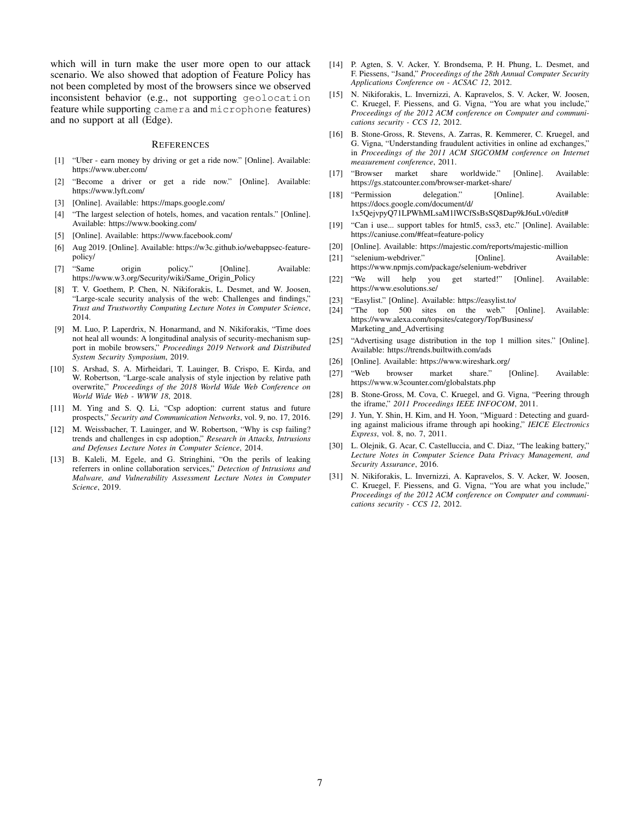which will in turn make the user more open to our attack scenario. We also showed that adoption of Feature Policy has not been completed by most of the browsers since we observed inconsistent behavior (e.g., not supporting geolocation feature while supporting camera and microphone features) and no support at all (Edge).

#### **REFERENCES**

- [1] "Uber earn money by driving or get a ride now." [Online]. Available: https://www.uber.com/
- [2] "Become a driver or get a ride now." [Online]. Available: https://www.lyft.com/
- [3] [Online]. Available: https://maps.google.com/
- [4] "The largest selection of hotels, homes, and vacation rentals." [Online]. Available: https://www.booking.com/
- [5] [Online]. Available: https://www.facebook.com/
- [6] Aug 2019. [Online]. Available: https://w3c.github.io/webappsec-featurepolicy/
- [7] "Same origin policy." [Online]. Available: https://www.w3.org/Security/wiki/Same Origin Policy
- [8] T. V. Goethem, P. Chen, N. Nikiforakis, L. Desmet, and W. Joosen, "Large-scale security analysis of the web: Challenges and findings," *Trust and Trustworthy Computing Lecture Notes in Computer Science*, 2014.
- [9] M. Luo, P. Laperdrix, N. Honarmand, and N. Nikiforakis, "Time does not heal all wounds: A longitudinal analysis of security-mechanism support in mobile browsers," *Proceedings 2019 Network and Distributed System Security Symposium*, 2019.
- [10] S. Arshad, S. A. Mirheidari, T. Lauinger, B. Crispo, E. Kirda, and W. Robertson, "Large-scale analysis of style injection by relative path overwrite," *Proceedings of the 2018 World Wide Web Conference on World Wide Web - WWW 18*, 2018.
- [11] M. Ying and S. Q. Li, "Csp adoption: current status and future prospects," *Security and Communication Networks*, vol. 9, no. 17, 2016.
- [12] M. Weissbacher, T. Lauinger, and W. Robertson, "Why is csp failing? trends and challenges in csp adoption," *Research in Attacks, Intrusions and Defenses Lecture Notes in Computer Science*, 2014.
- [13] B. Kaleli, M. Egele, and G. Stringhini, "On the perils of leaking referrers in online collaboration services," *Detection of Intrusions and Malware, and Vulnerability Assessment Lecture Notes in Computer Science*, 2019.
- [14] P. Agten, S. V. Acker, Y. Brondsema, P. H. Phung, L. Desmet, and F. Piessens, "Jsand," *Proceedings of the 28th Annual Computer Security Applications Conference on - ACSAC 12*, 2012.
- [15] N. Nikiforakis, L. Invernizzi, A. Kapravelos, S. V. Acker, W. Joosen, C. Kruegel, F. Piessens, and G. Vigna, "You are what you include," *Proceedings of the 2012 ACM conference on Computer and communications security - CCS 12*, 2012.
- [16] B. Stone-Gross, R. Stevens, A. Zarras, R. Kemmerer, C. Kruegel, and G. Vigna, "Understanding fraudulent activities in online ad exchanges," in *Proceedings of the 2011 ACM SIGCOMM conference on Internet measurement conference*, 2011.
- [17] "Browser market share worldwide." [Online]. Available: https://gs.statcounter.com/browser-market-share/
- [18] "Permission delegation." [Online]. Available: https://docs.google.com/document/d/ 1x5QejvpyQ71LPWhMLsaM1lWCfSsBsSQ8Dap9kJ6uLv0/edit#
- [19] "Can i use... support tables for html5, css3, etc." [Online]. Available: https://caniuse.com/#feat=feature-policy
- [20] [Online]. Available: https://majestic.com/reports/majestic-million
- [21] "selenium-webdriver." [Online]. Available: https://www.npmjs.com/package/selenium-webdriver
- [22] "We will help you get started!" [Online]. Available: https://www.esolutions.se/
- [23] "Easylist." [Online]. Available: https://easylist.to/
- [24] "The top 500 sites on the web." [Online]. Available: https://www.alexa.com/topsites/category/Top/Business/ Marketing and Advertising
- [25] "Advertising usage distribution in the top 1 million sites." [Online]. Available: https://trends.builtwith.com/ads
- [26] [Online]. Available: https://www.wireshark.org/
- [27] "Web browser market share." [Online]. Available: https://www.w3counter.com/globalstats.php
- [28] B. Stone-Gross, M. Cova, C. Kruegel, and G. Vigna, "Peering through the iframe," *2011 Proceedings IEEE INFOCOM*, 2011.
- [29] J. Yun, Y. Shin, H. Kim, and H. Yoon, "Miguard : Detecting and guarding against malicious iframe through api hooking," *IEICE Electronics Express*, vol. 8, no. 7, 2011.
- [30] L. Olejnik, G. Acar, C. Castelluccia, and C. Diaz, "The leaking battery," *Lecture Notes in Computer Science Data Privacy Management, and Security Assurance*, 2016.
- [31] N. Nikiforakis, L. Invernizzi, A. Kapravelos, S. V. Acker, W. Joosen, C. Kruegel, F. Piessens, and G. Vigna, "You are what you include," *Proceedings of the 2012 ACM conference on Computer and communications security - CCS 12*, 2012.